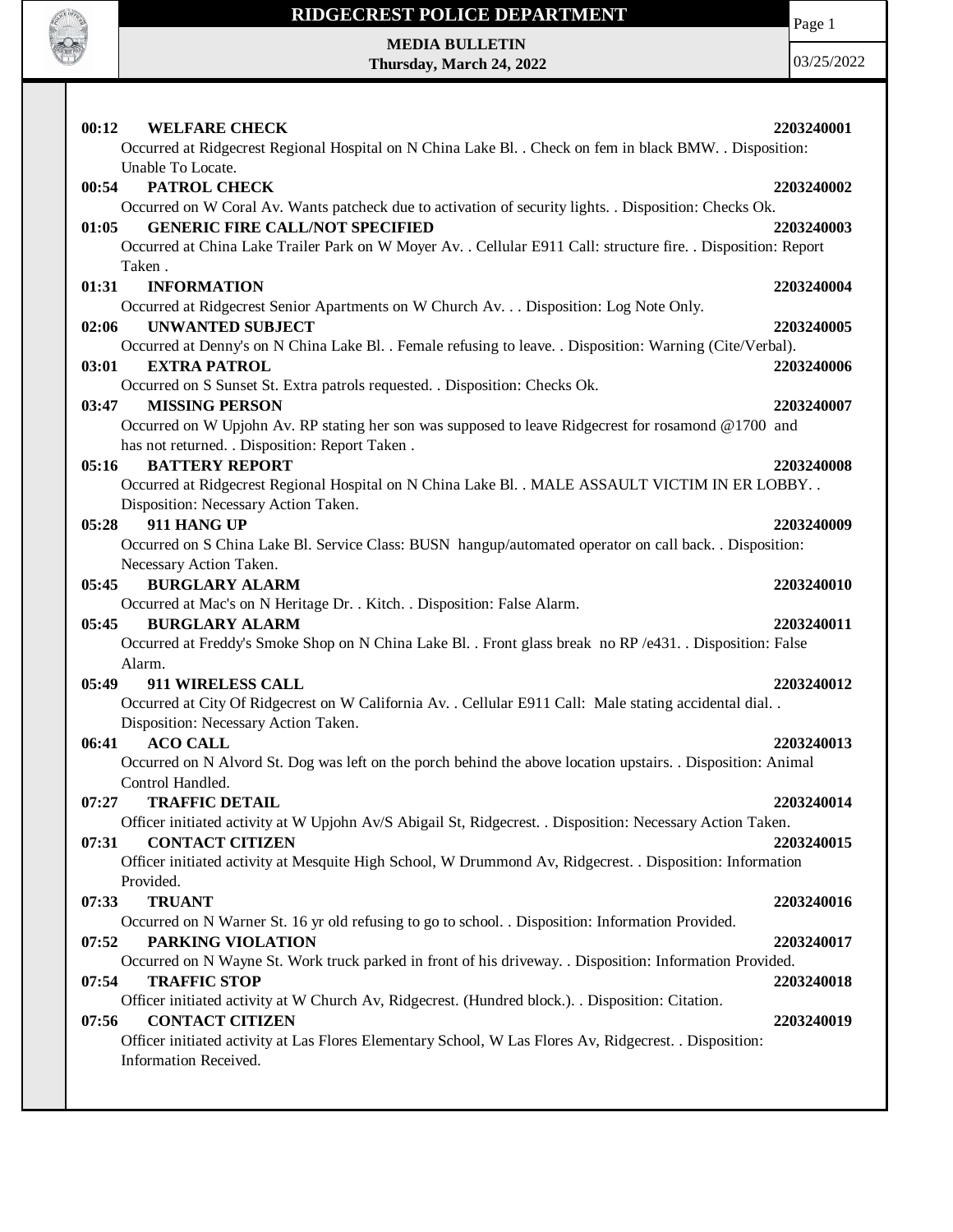

Page 1

**MEDIA BULLETIN Thursday, March 24, 2022**

| 00:12<br><b>WELFARE CHECK</b>                                                                                  | 2203240001 |
|----------------------------------------------------------------------------------------------------------------|------------|
| Occurred at Ridgecrest Regional Hospital on N China Lake Bl. . Check on fem in black BMW. . Disposition:       |            |
| Unable To Locate.                                                                                              |            |
| PATROL CHECK<br>00:54                                                                                          | 2203240002 |
| Occurred on W Coral Av. Wants patcheck due to activation of security lights. . Disposition: Checks Ok.         |            |
| <b>GENERIC FIRE CALL/NOT SPECIFIED</b><br>01:05                                                                | 2203240003 |
| Occurred at China Lake Trailer Park on W Moyer Av. . Cellular E911 Call: structure fire. . Disposition: Report |            |
| Taken.                                                                                                         |            |
| <b>INFORMATION</b><br>01:31                                                                                    | 2203240004 |
| Occurred at Ridgecrest Senior Apartments on W Church Av. Disposition: Log Note Only.                           |            |
| <b>UNWANTED SUBJECT</b><br>02:06                                                                               | 2203240005 |
| Occurred at Denny's on N China Lake Bl. . Female refusing to leave. . Disposition: Warning (Cite/Verbal).      |            |
| 03:01<br><b>EXTRA PATROL</b>                                                                                   | 2203240006 |
| Occurred on S Sunset St. Extra patrols requested. . Disposition: Checks Ok.                                    |            |
| 03:47<br><b>MISSING PERSON</b>                                                                                 | 2203240007 |
| Occurred on W Upjohn Av. RP stating her son was supposed to leave Ridgecrest for rosamond @1700 and            |            |
| has not returned. . Disposition: Report Taken.                                                                 |            |
| 05:16<br><b>BATTERY REPORT</b>                                                                                 | 2203240008 |
| Occurred at Ridgecrest Regional Hospital on N China Lake Bl. . MALE ASSAULT VICTIM IN ER LOBBY. .              |            |
| Disposition: Necessary Action Taken.                                                                           |            |
| 05:28<br>911 HANG UP                                                                                           | 2203240009 |
| Occurred on S China Lake Bl. Service Class: BUSN hangup/automated operator on call back. . Disposition:        |            |
| Necessary Action Taken.                                                                                        |            |
| 05:45<br><b>BURGLARY ALARM</b>                                                                                 | 2203240010 |
| Occurred at Mac's on N Heritage Dr. . Kitch. . Disposition: False Alarm.<br><b>BURGLARY ALARM</b><br>05:45     | 2203240011 |
| Occurred at Freddy's Smoke Shop on N China Lake Bl. . Front glass break no RP/e431. . Disposition: False       |            |
| Alarm.                                                                                                         |            |
| 05:49<br>911 WIRELESS CALL                                                                                     | 2203240012 |
| Occurred at City Of Ridgecrest on W California Av. . Cellular E911 Call: Male stating accidental dial. .       |            |
| Disposition: Necessary Action Taken.                                                                           |            |
| 06:41<br><b>ACO CALL</b>                                                                                       | 2203240013 |
| Occurred on N Alvord St. Dog was left on the porch behind the above location upstairs. . Disposition: Animal   |            |
| Control Handled.                                                                                               |            |
| 07:27<br><b>TRAFFIC DETAIL</b>                                                                                 | 2203240014 |
| Officer initiated activity at W Upjohn Av/S Abigail St, Ridgecrest. . Disposition: Necessary Action Taken.     |            |
| <b>CONTACT CITIZEN</b><br>07:31                                                                                | 2203240015 |
| Officer initiated activity at Mesquite High School, W Drummond Av, Ridgecrest. . Disposition: Information      |            |
| Provided.                                                                                                      |            |
| <b>TRUANT</b><br>07:33                                                                                         | 2203240016 |
| Occurred on N Warner St. 16 yr old refusing to go to school. . Disposition: Information Provided.              |            |
| 07:52<br>PARKING VIOLATION                                                                                     | 2203240017 |
| Occurred on N Wayne St. Work truck parked in front of his driveway. . Disposition: Information Provided.       |            |
| <b>TRAFFIC STOP</b><br>07:54                                                                                   | 2203240018 |
| Officer initiated activity at W Church Av, Ridgecrest. (Hundred block.). . Disposition: Citation.              |            |
| <b>CONTACT CITIZEN</b><br>07:56                                                                                | 2203240019 |
| Officer initiated activity at Las Flores Elementary School, W Las Flores Av, Ridgecrest. . Disposition:        |            |
| Information Received.                                                                                          |            |
|                                                                                                                |            |
|                                                                                                                |            |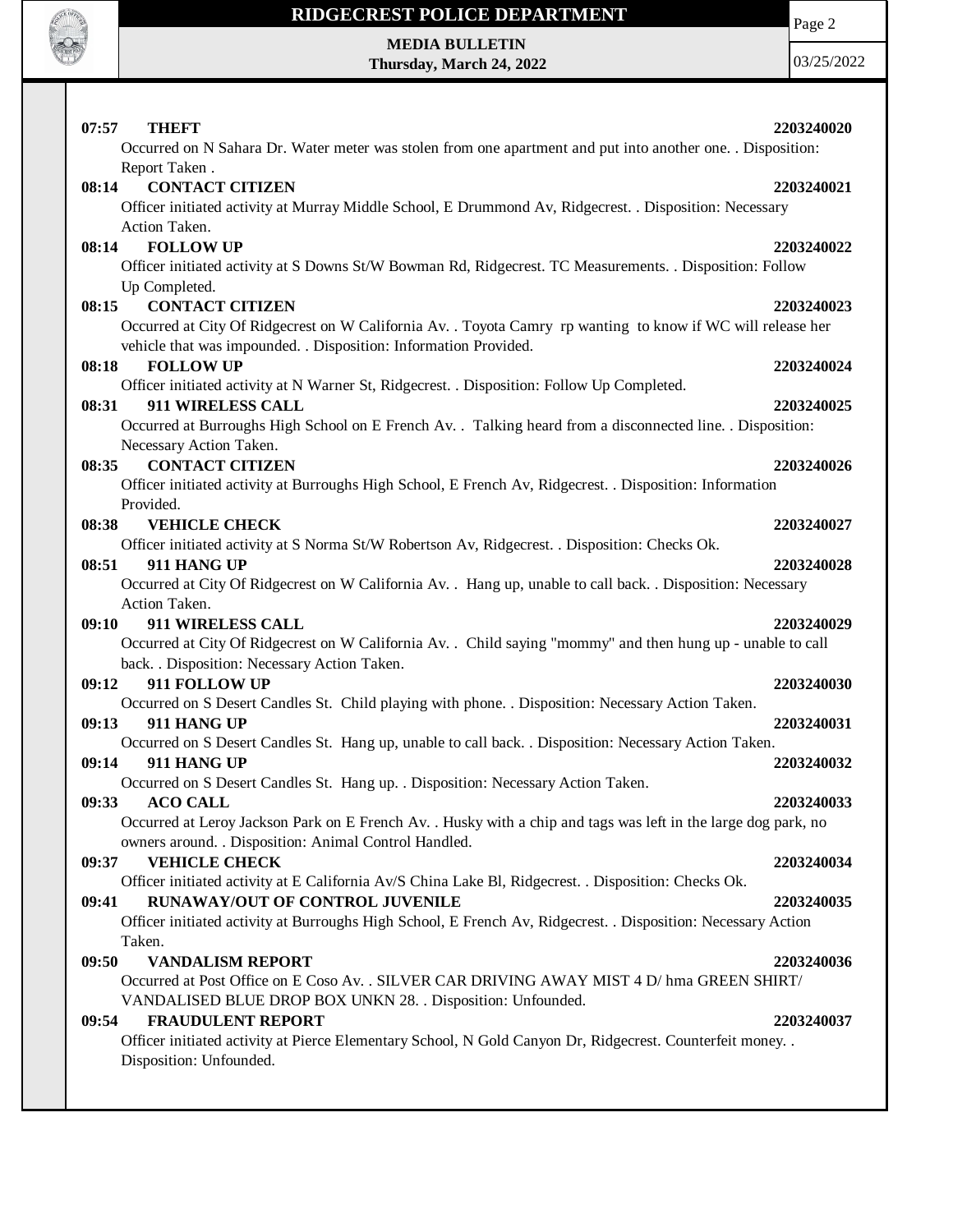

Page 2

**MEDIA BULLETIN Thursday, March 24, 2022**

| 07:57<br><b>THEFT</b><br>Occurred on N Sahara Dr. Water meter was stolen from one apartment and put into another one. . Disposition:                                                                                                                              | 2203240020 |
|-------------------------------------------------------------------------------------------------------------------------------------------------------------------------------------------------------------------------------------------------------------------|------------|
| Report Taken.<br><b>CONTACT CITIZEN</b><br>08:14<br>Officer initiated activity at Murray Middle School, E Drummond Av, Ridgecrest. . Disposition: Necessary<br>Action Taken.                                                                                      | 2203240021 |
| 08:14<br><b>FOLLOW UP</b><br>Officer initiated activity at S Downs St/W Bowman Rd, Ridgecrest. TC Measurements. . Disposition: Follow<br>Up Completed.                                                                                                            | 2203240022 |
| <b>CONTACT CITIZEN</b><br>08:15<br>Occurred at City Of Ridgecrest on W California Av. . Toyota Camry rp wanting to know if WC will release her<br>vehicle that was impounded. . Disposition: Information Provided.                                                | 2203240023 |
| <b>FOLLOW UP</b><br>08:18                                                                                                                                                                                                                                         | 2203240024 |
| Officer initiated activity at N Warner St, Ridgecrest. . Disposition: Follow Up Completed.<br>911 WIRELESS CALL<br>08:31<br>Occurred at Burroughs High School on E French Av. . Talking heard from a disconnected line. . Disposition:<br>Necessary Action Taken. | 2203240025 |
| <b>CONTACT CITIZEN</b><br>08:35<br>Officer initiated activity at Burroughs High School, E French Av, Ridgecrest. . Disposition: Information<br>Provided.                                                                                                          | 2203240026 |
| <b>VEHICLE CHECK</b><br>08:38                                                                                                                                                                                                                                     | 2203240027 |
| Officer initiated activity at S Norma St/W Robertson Av, Ridgecrest. . Disposition: Checks Ok.<br>08:51<br>911 HANG UP<br>Occurred at City Of Ridgecrest on W California Av. . Hang up, unable to call back. . Disposition: Necessary                             | 2203240028 |
| Action Taken.<br>911 WIRELESS CALL<br>09:10<br>Occurred at City Of Ridgecrest on W California Av. . Child saying "mommy" and then hung up - unable to call<br>back. . Disposition: Necessary Action Taken.                                                        | 2203240029 |
| 911 FOLLOW UP<br>09:12<br>Occurred on S Desert Candles St. Child playing with phone. . Disposition: Necessary Action Taken.                                                                                                                                       | 2203240030 |
| 911 HANG UP<br>09:13                                                                                                                                                                                                                                              | 2203240031 |
| Occurred on S Desert Candles St. Hang up, unable to call back. . Disposition: Necessary Action Taken.<br>911 HANG UP<br>09:14<br>Occurred on S Desert Candles St. Hang up. . Disposition: Necessary Action Taken.                                                 | 2203240032 |
| 09:33<br><b>ACO CALL</b><br>Occurred at Leroy Jackson Park on E French Av. . Husky with a chip and tags was left in the large dog park, no<br>owners around. . Disposition: Animal Control Handled.                                                               | 2203240033 |
| <b>VEHICLE CHECK</b><br>09:37<br>Officer initiated activity at E California Av/S China Lake Bl, Ridgecrest. . Disposition: Checks Ok.                                                                                                                             | 2203240034 |
| RUNAWAY/OUT OF CONTROL JUVENILE<br>09:41<br>Officer initiated activity at Burroughs High School, E French Av, Ridgecrest. . Disposition: Necessary Action<br>Taken.                                                                                               | 2203240035 |
| <b>VANDALISM REPORT</b><br>09:50<br>Occurred at Post Office on E Coso Av. . SILVER CAR DRIVING AWAY MIST 4 D/ hma GREEN SHIRT/<br>VANDALISED BLUE DROP BOX UNKN 28. . Disposition: Unfounded.                                                                     | 2203240036 |
| <b>FRAUDULENT REPORT</b><br>09:54<br>Officer initiated activity at Pierce Elementary School, N Gold Canyon Dr, Ridgecrest. Counterfeit money. .<br>Disposition: Unfounded.                                                                                        | 2203240037 |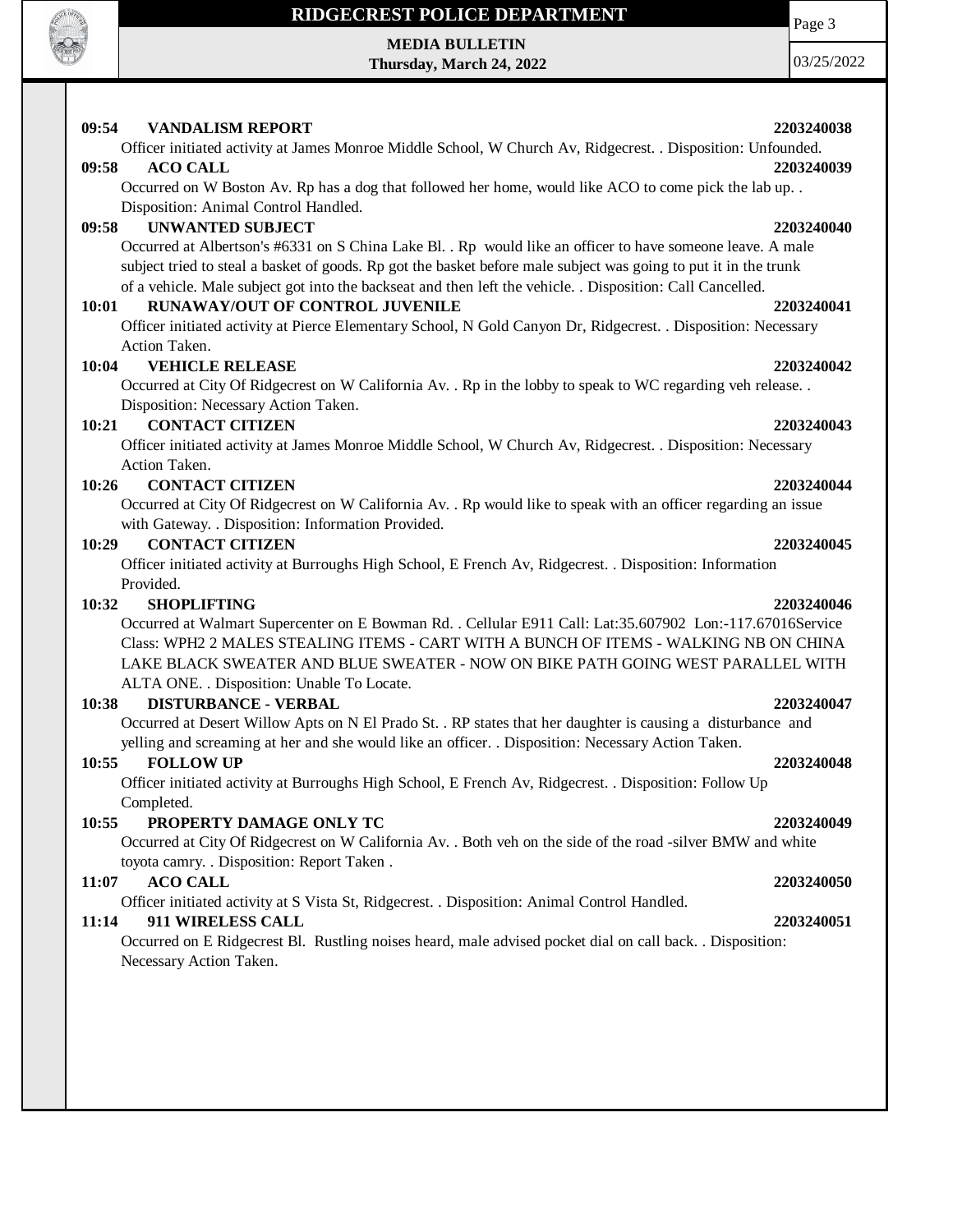

### **RIDGECREST POLICE DEPARTMENT**

# **MEDIA BULLETIN**

**Thursday, March 24, 2022**

03/25/2022

| 09:54 | <b>VANDALISM REPORT</b>                                                                                          | 2203240038 |
|-------|------------------------------------------------------------------------------------------------------------------|------------|
|       | Officer initiated activity at James Monroe Middle School, W Church Av, Ridgecrest. . Disposition: Unfounded.     |            |
| 09:58 | <b>ACO CALL</b>                                                                                                  | 2203240039 |
|       | Occurred on W Boston Av. Rp has a dog that followed her home, would like ACO to come pick the lab up. .          |            |
|       | Disposition: Animal Control Handled.                                                                             |            |
| 09:58 | <b>UNWANTED SUBJECT</b>                                                                                          | 2203240040 |
|       | Occurred at Albertson's #6331 on S China Lake Bl. . Rp would like an officer to have someone leave. A male       |            |
|       | subject tried to steal a basket of goods. Rp got the basket before male subject was going to put it in the trunk |            |
|       | of a vehicle. Male subject got into the backseat and then left the vehicle. . Disposition: Call Cancelled.       |            |
| 10:01 | <b>RUNAWAY/OUT OF CONTROL JUVENILE</b>                                                                           | 2203240041 |
|       | Officer initiated activity at Pierce Elementary School, N Gold Canyon Dr, Ridgecrest. . Disposition: Necessary   |            |
|       | Action Taken.                                                                                                    |            |
| 10:04 | <b>VEHICLE RELEASE</b>                                                                                           | 2203240042 |
|       | Occurred at City Of Ridgecrest on W California Av. . Rp in the lobby to speak to WC regarding veh release. .     |            |
|       | Disposition: Necessary Action Taken.                                                                             |            |
| 10:21 | <b>CONTACT CITIZEN</b>                                                                                           | 2203240043 |
|       | Officer initiated activity at James Monroe Middle School, W Church Av, Ridgecrest. . Disposition: Necessary      |            |
|       | Action Taken.                                                                                                    |            |
| 10:26 | <b>CONTACT CITIZEN</b>                                                                                           | 2203240044 |
|       | Occurred at City Of Ridgecrest on W California Av. . Rp would like to speak with an officer regarding an issue   |            |
|       | with Gateway. . Disposition: Information Provided.                                                               |            |
| 10:29 | <b>CONTACT CITIZEN</b>                                                                                           | 2203240045 |
|       | Officer initiated activity at Burroughs High School, E French Av, Ridgecrest. . Disposition: Information         |            |
|       | Provided.                                                                                                        |            |
| 10:32 | <b>SHOPLIFTING</b>                                                                                               | 2203240046 |
|       | Occurred at Walmart Supercenter on E Bowman Rd. . Cellular E911 Call: Lat:35.607902 Lon:-117.67016Service        |            |
|       | Class: WPH2 2 MALES STEALING ITEMS - CART WITH A BUNCH OF ITEMS - WALKING NB ON CHINA                            |            |
|       | LAKE BLACK SWEATER AND BLUE SWEATER - NOW ON BIKE PATH GOING WEST PARALLEL WITH                                  |            |
|       | ALTA ONE. . Disposition: Unable To Locate.                                                                       |            |
| 10:38 | <b>DISTURBANCE - VERBAL</b>                                                                                      | 2203240047 |
|       | Occurred at Desert Willow Apts on N El Prado St. . RP states that her daughter is causing a disturbance and      |            |
|       | yelling and screaming at her and she would like an officer. . Disposition: Necessary Action Taken.               |            |
| 10:55 | <b>FOLLOW UP</b>                                                                                                 | 2203240048 |
|       | Officer initiated activity at Burroughs High School, E French Av, Ridgecrest. . Disposition: Follow Up           |            |

### **10:55 PROPERTY DAMAGE ONLY TC 2203240049**

Occurred at City Of Ridgecrest on W California Av. . Both veh on the side of the road -silver BMW and white toyota camry. . Disposition: Report Taken .

### **11:07 ACO CALL 2203240050**

Completed.

Officer initiated activity at S Vista St, Ridgecrest. . Disposition: Animal Control Handled.

### **11:14 911 WIRELESS CALL 2203240051**

Occurred on E Ridgecrest Bl. Rustling noises heard, male advised pocket dial on call back. . Disposition: Necessary Action Taken.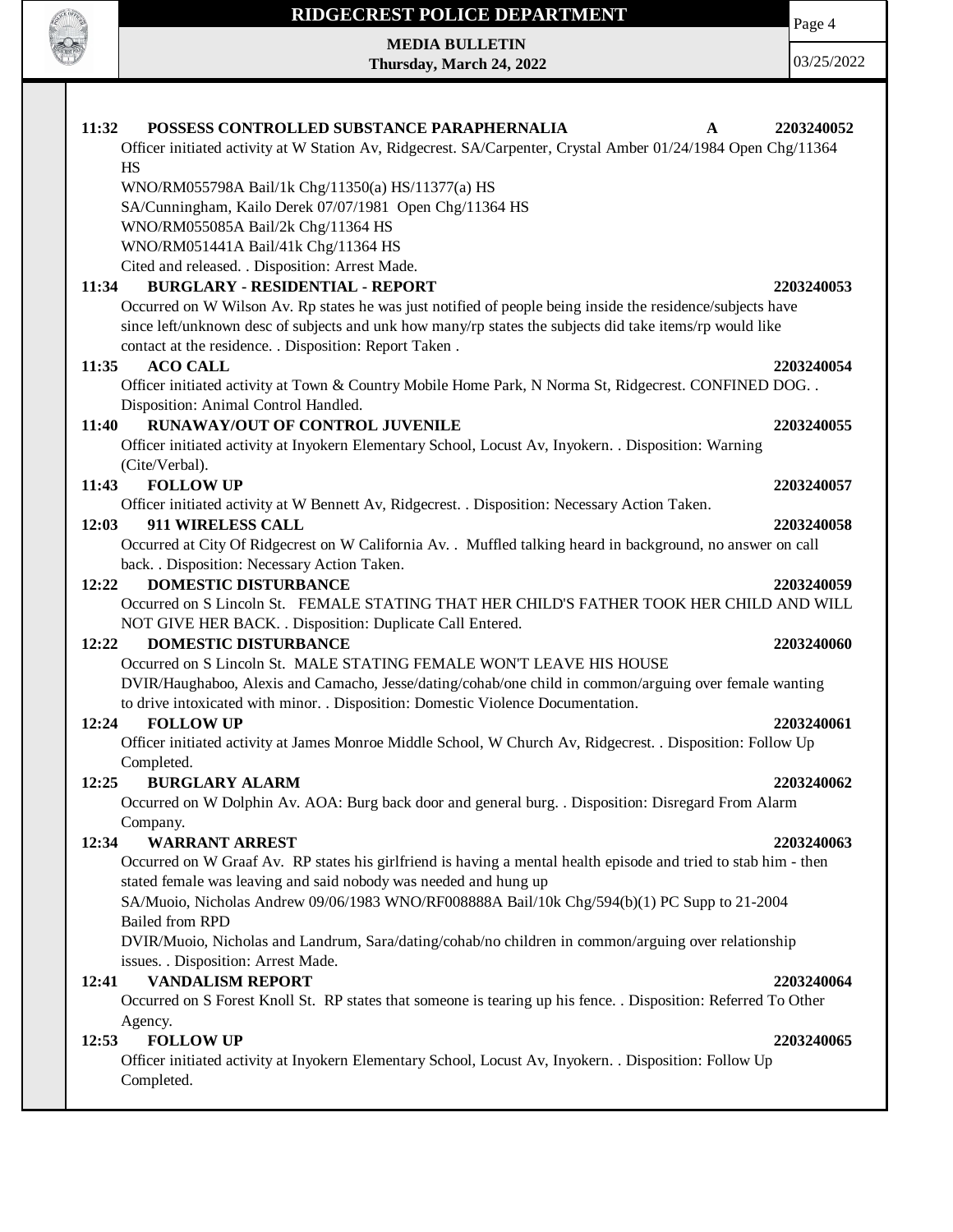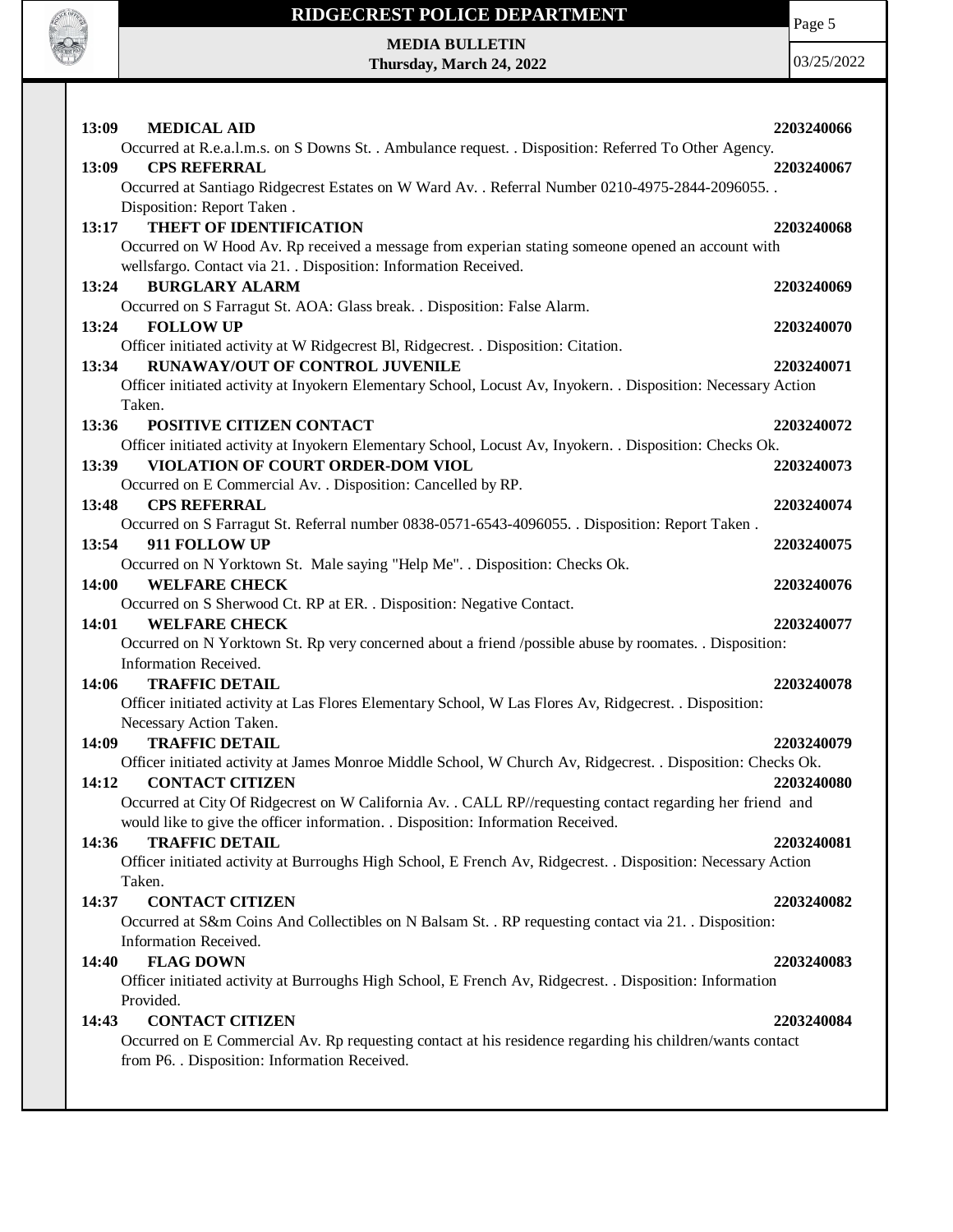

Page 5

**MEDIA BULLETIN Thursday, March 24, 2022**

| 13:09 | <b>MEDICAL AID</b>                                                                                             | 2203240066 |
|-------|----------------------------------------------------------------------------------------------------------------|------------|
|       | Occurred at R.e.a.l.m.s. on S Downs St. . Ambulance request. . Disposition: Referred To Other Agency.          |            |
| 13:09 | <b>CPS REFERRAL</b>                                                                                            | 2203240067 |
|       | Occurred at Santiago Ridgecrest Estates on W Ward Av. . Referral Number 0210-4975-2844-2096055. .              |            |
|       | Disposition: Report Taken.                                                                                     |            |
| 13:17 | <b>THEFT OF IDENTIFICATION</b>                                                                                 | 2203240068 |
|       | Occurred on W Hood Av. Rp received a message from experian stating someone opened an account with              |            |
|       | wellsfargo. Contact via 21. . Disposition: Information Received.                                               |            |
| 13:24 | <b>BURGLARY ALARM</b>                                                                                          | 2203240069 |
|       | Occurred on S Farragut St. AOA: Glass break. . Disposition: False Alarm.                                       |            |
| 13:24 | <b>FOLLOW UP</b>                                                                                               | 2203240070 |
|       | Officer initiated activity at W Ridgecrest Bl, Ridgecrest. . Disposition: Citation.                            |            |
| 13:34 | RUNAWAY/OUT OF CONTROL JUVENILE                                                                                | 2203240071 |
|       | Officer initiated activity at Inyokern Elementary School, Locust Av, Inyokern. . Disposition: Necessary Action |            |
|       | Taken.                                                                                                         |            |
| 13:36 | POSITIVE CITIZEN CONTACT                                                                                       | 2203240072 |
|       | Officer initiated activity at Inyokern Elementary School, Locust Av, Inyokern. . Disposition: Checks Ok.       |            |
| 13:39 | VIOLATION OF COURT ORDER-DOM VIOL                                                                              | 2203240073 |
|       | Occurred on E Commercial Av. . Disposition: Cancelled by RP.                                                   |            |
| 13:48 | <b>CPS REFERRAL</b>                                                                                            | 2203240074 |
|       | Occurred on S Farragut St. Referral number 0838-0571-6543-4096055. . Disposition: Report Taken.                |            |
| 13:54 | 911 FOLLOW UP                                                                                                  | 2203240075 |
|       | Occurred on N Yorktown St. Male saying "Help Me". . Disposition: Checks Ok.                                    |            |
| 14:00 | <b>WELFARE CHECK</b>                                                                                           | 2203240076 |
|       | Occurred on S Sherwood Ct. RP at ER. . Disposition: Negative Contact.                                          |            |
|       |                                                                                                                |            |
| 14:01 | <b>WELFARE CHECK</b>                                                                                           | 2203240077 |
|       | Occurred on N Yorktown St. Rp very concerned about a friend /possible abuse by roomates. . Disposition:        |            |
|       | Information Received.                                                                                          |            |
| 14:06 | <b>TRAFFIC DETAIL</b>                                                                                          | 2203240078 |
|       | Officer initiated activity at Las Flores Elementary School, W Las Flores Av, Ridgecrest. . Disposition:        |            |
|       | Necessary Action Taken.                                                                                        |            |
| 14:09 | <b>TRAFFIC DETAIL</b>                                                                                          | 2203240079 |
|       | Officer initiated activity at James Monroe Middle School, W Church Av, Ridgecrest. . Disposition: Checks Ok.   |            |
| 14:12 | <b>CONTACT CITIZEN</b>                                                                                         | 2203240080 |
|       | Occurred at City Of Ridgecrest on W California Av. . CALL RP//requesting contact regarding her friend and      |            |
|       | would like to give the officer information. . Disposition: Information Received.                               |            |
| 14:36 | <b>TRAFFIC DETAIL</b>                                                                                          | 2203240081 |
|       | Officer initiated activity at Burroughs High School, E French Av, Ridgecrest. . Disposition: Necessary Action  |            |
|       | Taken.                                                                                                         |            |
| 14:37 | <b>CONTACT CITIZEN</b>                                                                                         | 2203240082 |
|       | Occurred at S&m Coins And Collectibles on N Balsam St. . RP requesting contact via 21. . Disposition:          |            |
|       | Information Received.                                                                                          |            |
| 14:40 | <b>FLAG DOWN</b>                                                                                               | 2203240083 |
|       | Officer initiated activity at Burroughs High School, E French Av, Ridgecrest. . Disposition: Information       |            |
|       | Provided.                                                                                                      |            |
| 14:43 | <b>CONTACT CITIZEN</b>                                                                                         | 2203240084 |
|       | Occurred on E Commercial Av. Rp requesting contact at his residence regarding his children/wants contact       |            |
|       | from P6. . Disposition: Information Received.                                                                  |            |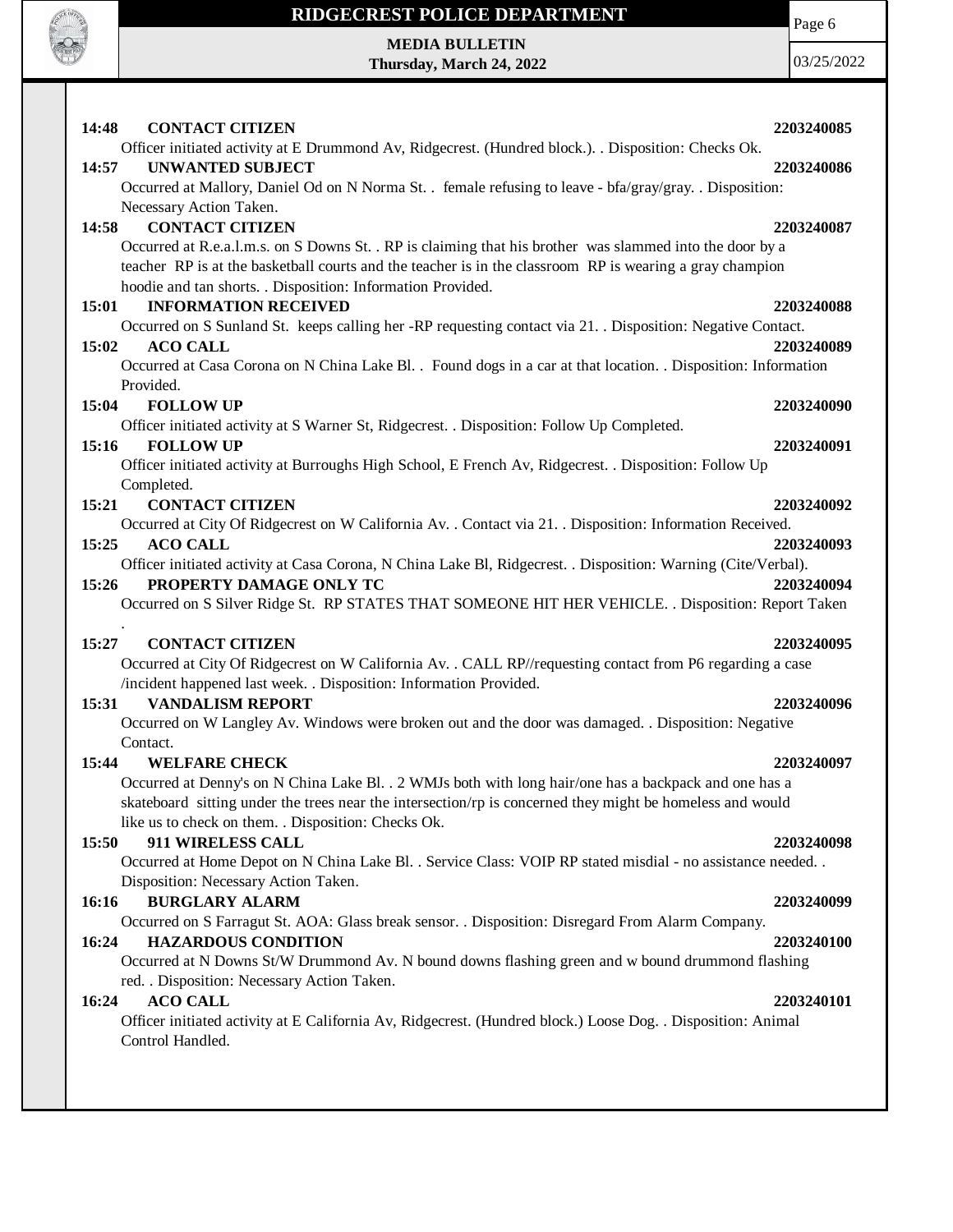

# **RIDGECREST POLICE DEPARTMENT MEDIA BULLETIN**

**Thursday, March 24, 2022**

Page 6

| <b>CONTACT CITIZEN</b><br>14:48                                                                                                             | 2203240085 |
|---------------------------------------------------------------------------------------------------------------------------------------------|------------|
| Officer initiated activity at E Drummond Av, Ridgecrest. (Hundred block.). . Disposition: Checks Ok.                                        |            |
| <b>UNWANTED SUBJECT</b><br>14:57                                                                                                            | 2203240086 |
| Occurred at Mallory, Daniel Od on N Norma St. . female refusing to leave - bfa/gray/gray. . Disposition:                                    |            |
| Necessary Action Taken.                                                                                                                     |            |
| <b>CONTACT CITIZEN</b><br>14:58<br>Occurred at R.e.a.l.m.s. on S Downs St. . RP is claiming that his brother was slammed into the door by a | 2203240087 |
| teacher RP is at the basketball courts and the teacher is in the classroom RP is wearing a gray champion                                    |            |
| hoodie and tan shorts. . Disposition: Information Provided.                                                                                 |            |
| <b>INFORMATION RECEIVED</b><br>15:01                                                                                                        | 2203240088 |
| Occurred on S Sunland St. keeps calling her -RP requesting contact via 21. Disposition: Negative Contact.                                   |            |
| 15:02<br><b>ACO CALL</b>                                                                                                                    | 2203240089 |
| Occurred at Casa Corona on N China Lake Bl. . Found dogs in a car at that location. . Disposition: Information                              |            |
| Provided.<br><b>FOLLOW UP</b><br>15:04                                                                                                      | 2203240090 |
| Officer initiated activity at S Warner St, Ridgecrest. . Disposition: Follow Up Completed.                                                  |            |
| <b>FOLLOW UP</b><br>15:16                                                                                                                   | 2203240091 |
| Officer initiated activity at Burroughs High School, E French Av, Ridgecrest. . Disposition: Follow Up                                      |            |
| Completed.                                                                                                                                  |            |
| <b>CONTACT CITIZEN</b><br>15:21                                                                                                             | 2203240092 |
| Occurred at City Of Ridgecrest on W California Av. . Contact via 21. . Disposition: Information Received.                                   |            |
| 15:25<br><b>ACO CALL</b><br>Officer initiated activity at Casa Corona, N China Lake Bl, Ridgecrest. . Disposition: Warning (Cite/Verbal).   | 2203240093 |
| 15:26<br>PROPERTY DAMAGE ONLY TC                                                                                                            | 2203240094 |
| Occurred on S Silver Ridge St. RP STATES THAT SOMEONE HIT HER VEHICLE. . Disposition: Report Taken                                          |            |
|                                                                                                                                             |            |
| <b>CONTACT CITIZEN</b><br>15:27                                                                                                             | 2203240095 |
| Occurred at City Of Ridgecrest on W California Av. . CALL RP//requesting contact from P6 regarding a case                                   |            |
| /incident happened last week. . Disposition: Information Provided.<br>15:31<br><b>VANDALISM REPORT</b>                                      | 2203240096 |
| Occurred on W Langley Av. Windows were broken out and the door was damaged. . Disposition: Negative                                         |            |
| Contact.                                                                                                                                    |            |
| 15:44<br><b>WELFARE CHECK</b>                                                                                                               | 2203240097 |
| Occurred at Denny's on N China Lake Bl. . 2 WMJs both with long hair/one has a backpack and one has a                                       |            |
| skateboard sitting under the trees near the intersection/rp is concerned they might be homeless and would                                   |            |
| like us to check on them. . Disposition: Checks Ok.<br>15:50<br>911 WIRELESS CALL                                                           |            |
| Occurred at Home Depot on N China Lake Bl. . Service Class: VOIP RP stated misdial - no assistance needed. .                                | 2203240098 |
| Disposition: Necessary Action Taken.                                                                                                        |            |
| <b>BURGLARY ALARM</b><br>16:16                                                                                                              | 2203240099 |
| Occurred on S Farragut St. AOA: Glass break sensor. . Disposition: Disregard From Alarm Company.                                            |            |
| <b>HAZARDOUS CONDITION</b><br>16:24                                                                                                         | 2203240100 |
| Occurred at N Downs St/W Drummond Av. N bound downs flashing green and w bound drummond flashing                                            |            |
| red. . Disposition: Necessary Action Taken.<br><b>ACO CALL</b><br>16:24                                                                     | 2203240101 |
| Officer initiated activity at E California Av, Ridgecrest. (Hundred block.) Loose Dog. . Disposition: Animal                                |            |
| Control Handled.                                                                                                                            |            |
|                                                                                                                                             |            |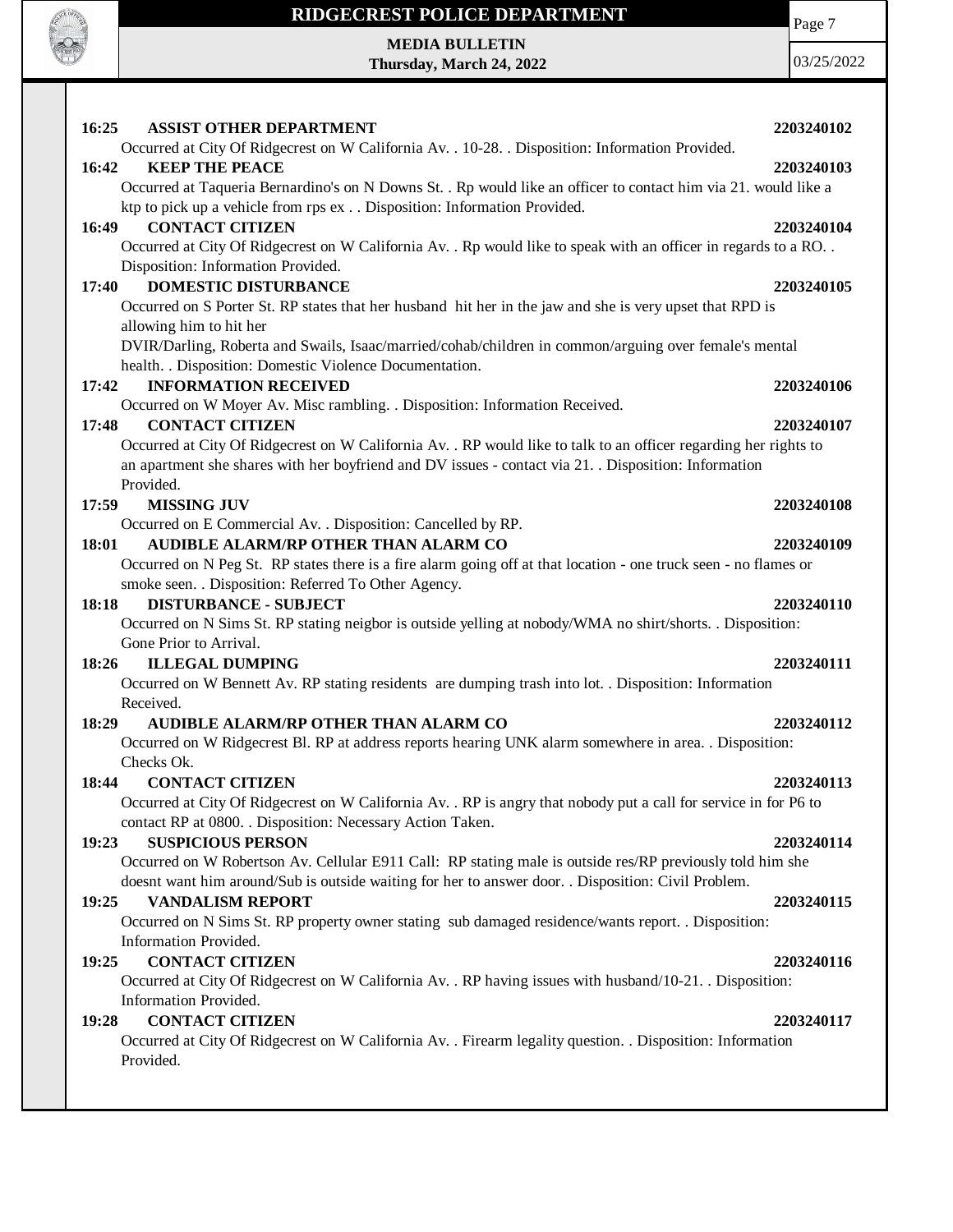

**MEDIA BULLETIN Thursday, March 24, 2022** Page 7

| 16:25<br><b>ASSIST OTHER DEPARTMENT</b>                                                                                          | 2203240102 |
|----------------------------------------------------------------------------------------------------------------------------------|------------|
| Occurred at City Of Ridgecrest on W California Av. . 10-28. . Disposition: Information Provided.                                 |            |
| 16:42<br><b>KEEP THE PEACE</b>                                                                                                   | 2203240103 |
| Occurred at Taqueria Bernardino's on N Downs St. . Rp would like an officer to contact him via 21. would like a                  |            |
| ktp to pick up a vehicle from rps ex Disposition: Information Provided.                                                          |            |
| 16:49<br><b>CONTACT CITIZEN</b>                                                                                                  | 2203240104 |
| Occurred at City Of Ridgecrest on W California Av. . Rp would like to speak with an officer in regards to a RO. .                |            |
| Disposition: Information Provided.                                                                                               |            |
| <b>DOMESTIC DISTURBANCE</b><br>17:40                                                                                             | 2203240105 |
| Occurred on S Porter St. RP states that her husband hit her in the jaw and she is very upset that RPD is                         |            |
| allowing him to hit her<br>DVIR/Darling, Roberta and Swails, Isaac/married/cohab/children in common/arguing over female's mental |            |
| health. . Disposition: Domestic Violence Documentation.                                                                          |            |
| <b>INFORMATION RECEIVED</b><br>17:42                                                                                             | 2203240106 |
| Occurred on W Moyer Av. Misc rambling. . Disposition: Information Received.                                                      |            |
| <b>CONTACT CITIZEN</b><br>17:48                                                                                                  | 2203240107 |
| Occurred at City Of Ridgecrest on W California Av. . RP would like to talk to an officer regarding her rights to                 |            |
| an apartment she shares with her boyfriend and DV issues - contact via 21. Disposition: Information                              |            |
| Provided.                                                                                                                        |            |
| 17:59<br><b>MISSING JUV</b>                                                                                                      | 2203240108 |
| Occurred on E Commercial Av. . Disposition: Cancelled by RP.                                                                     |            |
| <b>AUDIBLE ALARM/RP OTHER THAN ALARM CO</b><br>18:01                                                                             | 2203240109 |
| Occurred on N Peg St. RP states there is a fire alarm going off at that location - one truck seen - no flames or                 |            |
| smoke seen. . Disposition: Referred To Other Agency.                                                                             |            |
| 18:18<br><b>DISTURBANCE - SUBJECT</b>                                                                                            | 2203240110 |
| Occurred on N Sims St. RP stating neigbor is outside yelling at nobody/WMA no shirt/shorts. . Disposition:                       |            |
| Gone Prior to Arrival.                                                                                                           |            |
| 18:26<br><b>ILLEGAL DUMPING</b>                                                                                                  | 2203240111 |
| Occurred on W Bennett Av. RP stating residents are dumping trash into lot. . Disposition: Information<br>Received.               |            |
| <b>AUDIBLE ALARM/RP OTHER THAN ALARM CO</b><br>18:29                                                                             | 2203240112 |
| Occurred on W Ridgecrest Bl. RP at address reports hearing UNK alarm somewhere in area. . Disposition:                           |            |
| Checks Ok.                                                                                                                       |            |
| 18:44<br><b>CONTACT CITIZEN</b>                                                                                                  | 2203240113 |
| Occurred at City Of Ridgecrest on W California Av. . RP is angry that nobody put a call for service in for P6 to                 |            |
| contact RP at 0800. . Disposition: Necessary Action Taken.                                                                       |            |
| <b>SUSPICIOUS PERSON</b><br>19:23                                                                                                | 2203240114 |
| Occurred on W Robertson Av. Cellular E911 Call: RP stating male is outside res/RP previously told him she                        |            |
| doesnt want him around/Sub is outside waiting for her to answer door. . Disposition: Civil Problem.                              |            |
| <b>VANDALISM REPORT</b><br>19:25                                                                                                 | 2203240115 |
| Occurred on N Sims St. RP property owner stating sub damaged residence/wants report. . Disposition:                              |            |
| Information Provided.                                                                                                            |            |
| <b>CONTACT CITIZEN</b><br>19:25                                                                                                  | 2203240116 |
| Occurred at City Of Ridgecrest on W California Av. . RP having issues with husband/10-21. . Disposition:                         |            |
| Information Provided.                                                                                                            |            |
| <b>CONTACT CITIZEN</b><br>19:28                                                                                                  | 2203240117 |
| Occurred at City Of Ridgecrest on W California Av. . Firearm legality question. . Disposition: Information<br>Provided.          |            |
|                                                                                                                                  |            |
|                                                                                                                                  |            |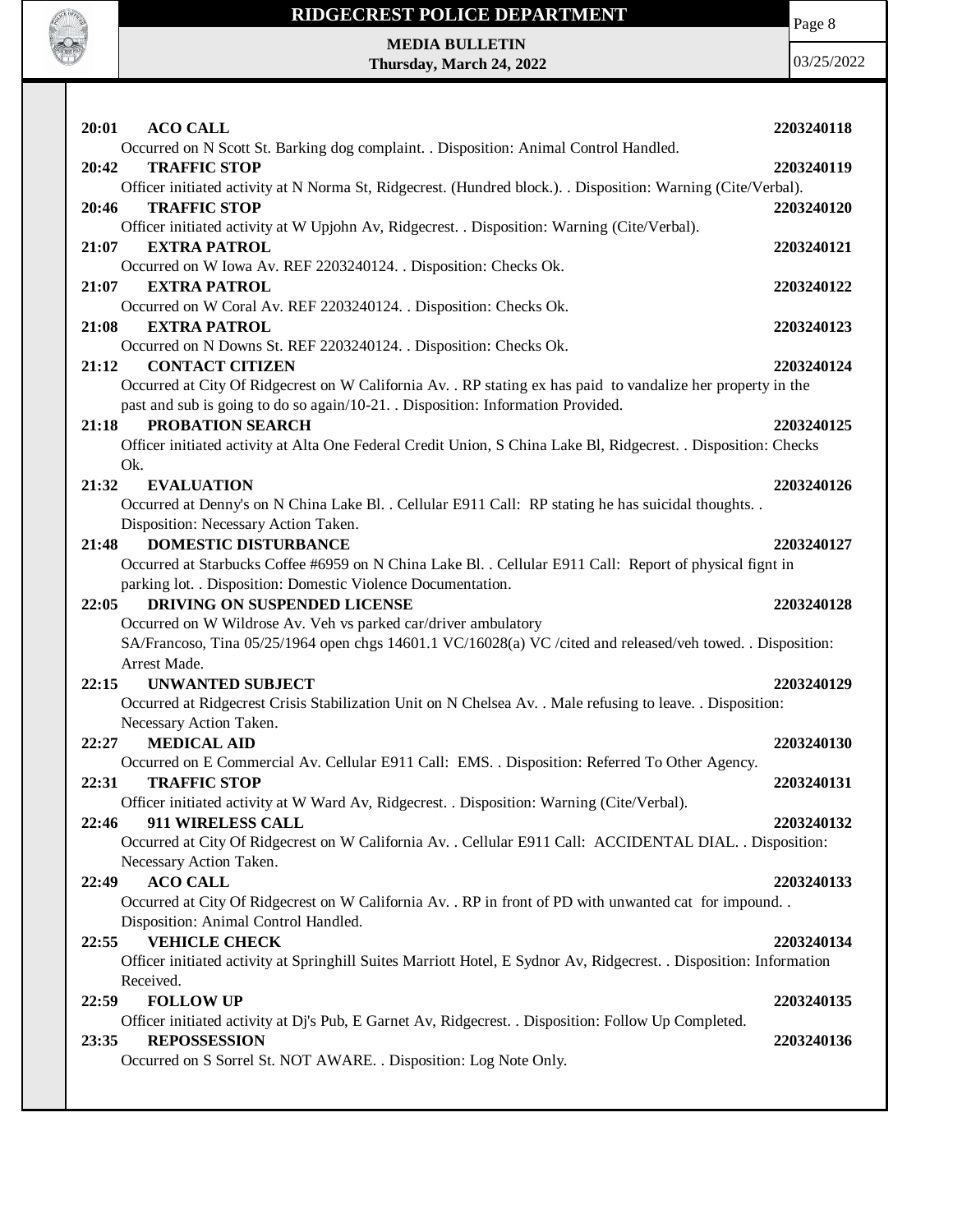

**MEDIA BULLETIN Thursday, March 24, 2022** Page 8

| 20:01<br><b>ACO CALL</b>                                                                                            | 2203240118 |
|---------------------------------------------------------------------------------------------------------------------|------------|
| Occurred on N Scott St. Barking dog complaint. . Disposition: Animal Control Handled.                               |            |
| <b>TRAFFIC STOP</b><br>20:42                                                                                        | 2203240119 |
| Officer initiated activity at N Norma St, Ridgecrest. (Hundred block.). . Disposition: Warning (Cite/Verbal).       |            |
| <b>TRAFFIC STOP</b><br>20:46                                                                                        | 2203240120 |
| Officer initiated activity at W Upjohn Av, Ridgecrest. . Disposition: Warning (Cite/Verbal).                        |            |
| <b>EXTRA PATROL</b><br>21:07                                                                                        | 2203240121 |
| Occurred on W Iowa Av. REF 2203240124. . Disposition: Checks Ok.                                                    |            |
| 21:07<br><b>EXTRA PATROL</b>                                                                                        | 2203240122 |
| Occurred on W Coral Av. REF 2203240124. . Disposition: Checks Ok.                                                   |            |
| 21:08<br><b>EXTRA PATROL</b>                                                                                        | 2203240123 |
| Occurred on N Downs St. REF 2203240124. . Disposition: Checks Ok.                                                   |            |
| <b>CONTACT CITIZEN</b><br>21:12                                                                                     | 2203240124 |
| Occurred at City Of Ridgecrest on W California Av. . RP stating ex has paid to vandalize her property in the        |            |
| past and sub is going to do so again/10-21. Disposition: Information Provided.                                      |            |
| 21:18<br>PROBATION SEARCH                                                                                           | 2203240125 |
| Officer initiated activity at Alta One Federal Credit Union, S China Lake Bl, Ridgecrest. . Disposition: Checks     |            |
| Ok.                                                                                                                 |            |
| 21:32<br><b>EVALUATION</b>                                                                                          | 2203240126 |
| Occurred at Denny's on N China Lake Bl. . Cellular E911 Call: RP stating he has suicidal thoughts. .                |            |
| Disposition: Necessary Action Taken.                                                                                |            |
| <b>DOMESTIC DISTURBANCE</b><br>21:48                                                                                | 2203240127 |
| Occurred at Starbucks Coffee #6959 on N China Lake Bl. . Cellular E911 Call: Report of physical fignt in            |            |
| parking lot. . Disposition: Domestic Violence Documentation.                                                        |            |
| DRIVING ON SUSPENDED LICENSE<br>22:05                                                                               | 2203240128 |
| Occurred on W Wildrose Av. Veh vs parked car/driver ambulatory                                                      |            |
| SA/Francoso, Tina 05/25/1964 open chgs 14601.1 VC/16028(a) VC /cited and released/veh towed. . Disposition:         |            |
| Arrest Made.                                                                                                        |            |
| 22:15<br><b>UNWANTED SUBJECT</b>                                                                                    | 2203240129 |
| Occurred at Ridgecrest Crisis Stabilization Unit on N Chelsea Av. . Male refusing to leave. . Disposition:          |            |
| Necessary Action Taken.                                                                                             |            |
| <b>MEDICAL AID</b><br>22:27                                                                                         | 2203240130 |
| Occurred on E Commercial Av. Cellular E911 Call: EMS. . Disposition: Referred To Other Agency.                      |            |
| 22:31<br><b>TRAFFIC STOP</b>                                                                                        | 2203240131 |
| Officer initiated activity at W Ward Av, Ridgecrest. . Disposition: Warning (Cite/Verbal).                          |            |
| 911 WIRELESS CALL<br>22:46                                                                                          | 2203240132 |
| Occurred at City Of Ridgecrest on W California Av. . Cellular E911 Call: ACCIDENTAL DIAL. . Disposition:            |            |
| Necessary Action Taken.                                                                                             |            |
| <b>ACO CALL</b><br>22:49                                                                                            | 2203240133 |
| Occurred at City Of Ridgecrest on W California Av. . RP in front of PD with unwanted cat for impound. .             |            |
| Disposition: Animal Control Handled.                                                                                |            |
| <b>VEHICLE CHECK</b><br>22:55                                                                                       | 2203240134 |
| Officer initiated activity at Springhill Suites Marriott Hotel, E Sydnor Av, Ridgecrest. . Disposition: Information |            |
| Received.                                                                                                           |            |
| <b>FOLLOW UP</b><br>22:59                                                                                           | 2203240135 |
| Officer initiated activity at Dj's Pub, E Garnet Av, Ridgecrest. . Disposition: Follow Up Completed.                |            |
| <b>REPOSSESSION</b><br>23:35                                                                                        | 2203240136 |
| Occurred on S Sorrel St. NOT AWARE. . Disposition: Log Note Only.                                                   |            |
|                                                                                                                     |            |